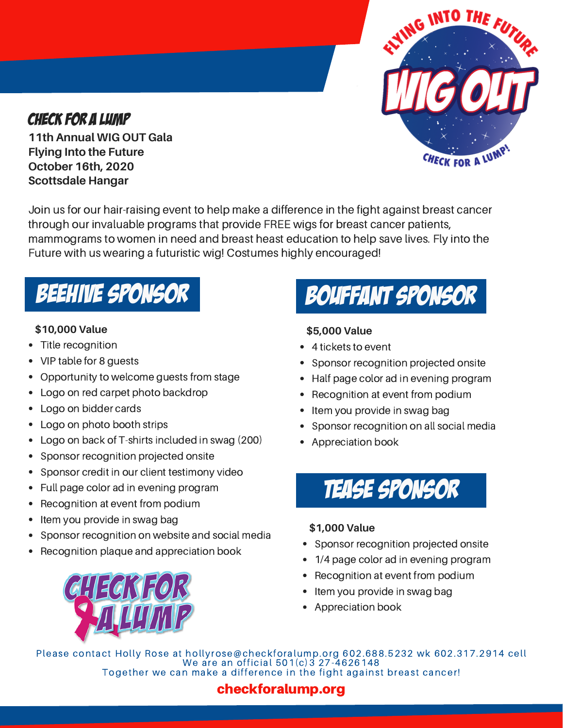

# CHECK FOR A LUMP

**11th Annual WIG OUT Gala Flying Into the Future October 16th, 2020 Scottsdale Hangar**

Join us for our hair-raising event to help make a difference in the fight against breast cancer through our invaluable programs that provide FREE wigs for breast cancer patients, mammograms to women in need and breast heast education to help save lives. Fly into the Future with us wearing a futuristic wig! Costumes highly encouraged!

# BEEHIVE SPONSOR

# **\$10,000 Value**

- Title recognition
- VIP table for 8 guests
- Opportunity to welcome guests from stage  $\bullet$
- Logo on red carpet photo backdrop
- Logo on bidder cards
- $\bullet$ Logo on photo booth strips
- Logo on back of T-shirts included in swag (200)
- Sponsor recognition projected onsite
- Sponsor credit in our client testimony video
- Full page color ad in evening program
- $\bullet$ Recognition at event from podium
- Item you provide in swag bag
- Sponsor recognition on website and social media
- Recognition plaque and appreciation book



# **\$5,000 Value**

- 4 tickets to event
- Sponsor recognition projected onsite
- Half page color ad in evening program
- Recognition at event from podium
- Item you provide in swag bag
- Sponsor recognition on all social media
- Appreciation book



# **\$1,000 Value**

- Sponsor recognition projected onsite
- 1/4 page color ad in evening program
- Recognition at event from podium
- Item you provide in swag bag
- Appreciation book

Please contact Holly Rose at hollyrose@checkforalump.org 602.688.5232 wk 602.317.2914 cell We are an official 501(c)3 27-4626148 Together we can make a difference in the fight against breast cancer!

# checkforalump.org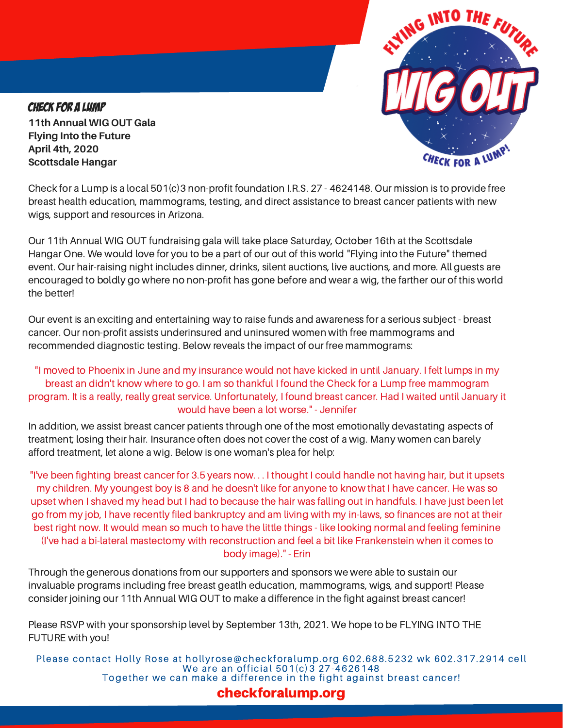

CHECK FOR A LUMP **11th Annual WIG OUT Gala Flying Into the Future April 4th, 2020 Scottsdale Hangar**

Check for a Lump is a local 501(c)3 non-profit foundation I.R.S. 27 - 4624148. Our mission is to provide free breast health education, mammograms, testing, and direct assistance to breast cancer patients with new wigs, support and resources in Arizona.

Our 11th Annual WIG OUT fundraising gala will take place Saturday, October 16th at the Scottsdale Hangar One. We would love for you to be a part of our out of this world "Flying into the Future" themed event. Our hair-raising night includes dinner, drinks, silent auctions, live auctions, and more. All guests are encouraged to boldly go where no non-profit has gone before and wear a wig, the farther our of this world the better!

Our event is an exciting and entertaining way to raise funds and awareness for a serious subject - breast cancer. Our non-profit assists underinsured and uninsured women with free mammograms and recommended diagnostic testing. Below reveals the impact of our free mammograms:

# "I moved to Phoenix in June and my insurance would not have kicked in until January. I felt lumps in my breast an didn't know where to go. I am so thankful I found the Check for a Lump free mammogram program. It is a really, really great service. Unfortunately, I found breast cancer. Had I waited until January it would have been a lot worse." - Jennifer

In addition, we assist breast cancer patients through one of the most emotionally devastating aspects of treatment; losing their hair. Insurance often does not cover the cost of a wig. Many women can barely afford treatment, let alone a wig. Below is one woman's plea for help:

"I've been fighting breast cancer for 3.5 years now. . . I thought I could handle not having hair, but it upsets my children. My youngest boy is 8 and he doesn't like for anyone to know that I have cancer. He was so upset when I shaved my head but I had to because the hair was falling out in handfuls. I have just been let go from my job, I have recently filed bankruptcy and am living with my in-laws, so finances are not at their best right now. It would mean so much to have the little things - like looking normal and feeling feminine (I've had a bi-lateral mastectomy with reconstruction and feel a bit like Frankenstein when it comes to body image)." - Erin

Through the generous donations from our supporters and sponsors we were able to sustain our invaluable programs including free breast geatlh education, mammograms, wigs, and support! Please consider joining our 11th Annual WIG OUT to make a difference in the fight against breast cancer!

Please RSVP with your sponsorship level by September 13th, 2021. We hope to be FLYING INTO THE FUTURE with you!

Please contact Holly Rose at hollyrose@checkforalump.org 602.688.5232 wk 602.317.2914 cell We are an official 501(c)3 27-4626148 Together we can make a difference in the fight against breast cancer!

# checkforalump.org